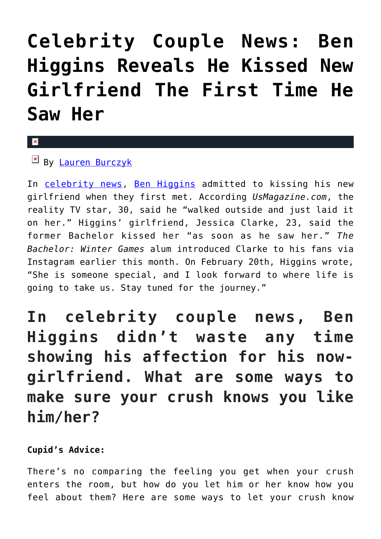## **[Celebrity Couple News: Ben](https://cupidspulse.com/129044/celebrity-couple-news-ben-higgins-reveals-kissed-new-girlfriend-first-time-he-saw-her/) [Higgins Reveals He Kissed New](https://cupidspulse.com/129044/celebrity-couple-news-ben-higgins-reveals-kissed-new-girlfriend-first-time-he-saw-her/) [Girlfriend The First Time He](https://cupidspulse.com/129044/celebrity-couple-news-ben-higgins-reveals-kissed-new-girlfriend-first-time-he-saw-her/) [Saw Her](https://cupidspulse.com/129044/celebrity-couple-news-ben-higgins-reveals-kissed-new-girlfriend-first-time-he-saw-her/)**

## $\mathbf{R}$

 $\boxed{\mathbf{x}}$  By [Lauren Burczyk](http://cupidspulse.com/128283/lauren-burczyk/)

In [celebrity news](http://cupidspulse.com/celebrity-news/), [Ben Higgins](http://cupidspulse.com/104071/ben-higgins/) admitted to kissing his new girlfriend when they first met. According *UsMagazine.com*, the reality TV star, 30, said he "walked outside and just laid it on her." Higgins' girlfriend, Jessica Clarke, 23, said the former Bachelor kissed her "as soon as he saw her." *The Bachelor: Winter Games* alum introduced Clarke to his fans via Instagram earlier this month. On February 20th, Higgins wrote, "She is someone special, and I look forward to where life is going to take us. Stay tuned for the journey."

**In celebrity couple news, Ben Higgins didn't waste any time showing his affection for his nowgirlfriend. What are some ways to make sure your crush knows you like him/her?**

## **Cupid's Advice:**

There's no comparing the feeling you get when your crush enters the room, but how do you let him or her know how you feel about them? Here are some ways to let your crush know